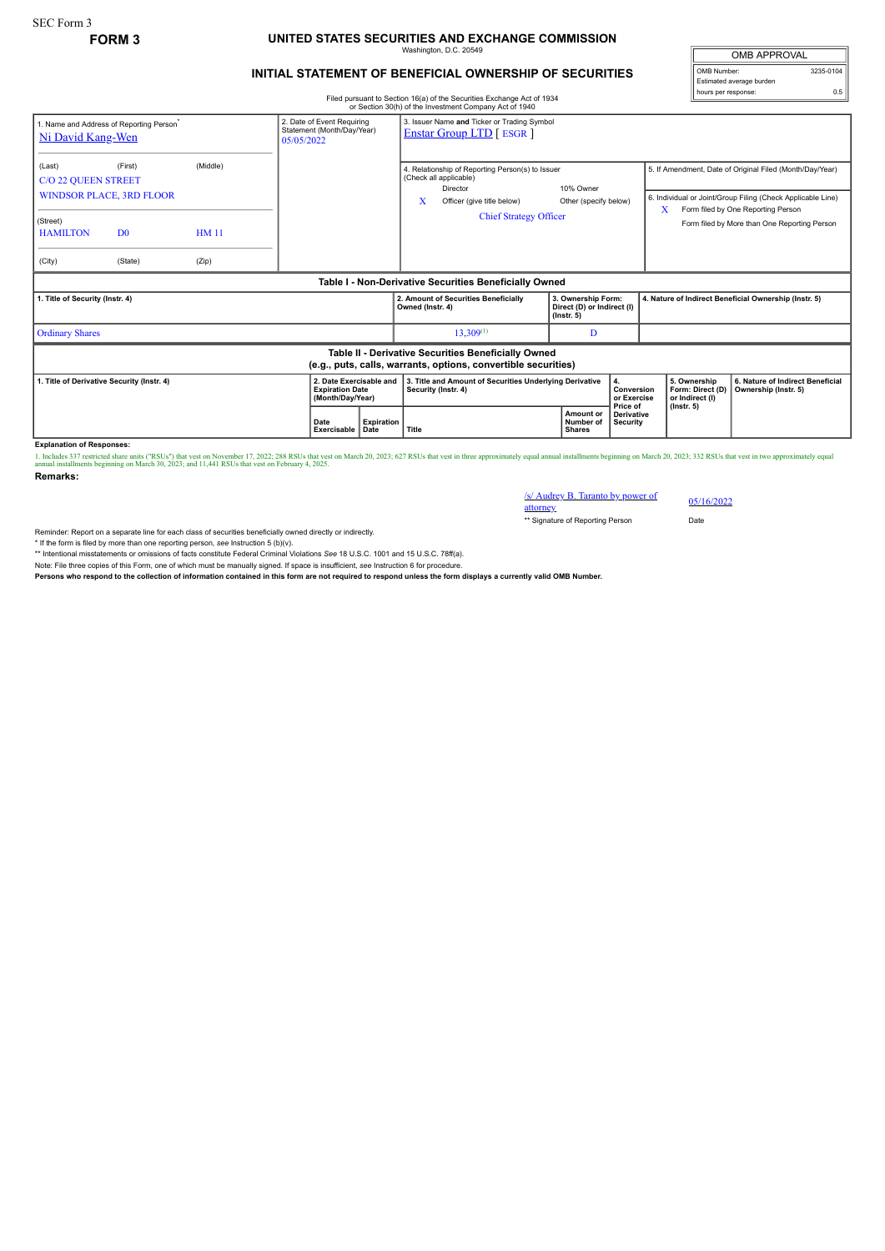## **FORM 3 UNITED STATES SECURITIES AND EXCHANGE COMMISSION** Washington, D.C. 20549

## **INITIAL STATEMENT OF BENEFICIAL OWNERSHIP OF SECURITIES**

Filed pursuant to Section 16(a) of the Securities Exchange Act of 1934 or Section 30(h) of the Investment Company Act of 1940

OMB APPROVAL OMB Number: 3235-0104 Estimated average burden hours per response: 0.5

| Ni David Kang-Wen                                                                                                                               | 1. Name and Address of Reporting Person <sup>®</sup>                    |                                  | 2. Date of Event Requiring<br>Statement (Month/Day/Year)<br>05/05/2022 | 3. Issuer Name and Ticker or Trading Symbol<br><b>Enstar Group LTD</b> [ ESGR ]         |                                                                                                                                                            |                                                                      |                                                                         |                                                          |                                                                                                                                                                                                               |
|-------------------------------------------------------------------------------------------------------------------------------------------------|-------------------------------------------------------------------------|----------------------------------|------------------------------------------------------------------------|-----------------------------------------------------------------------------------------|------------------------------------------------------------------------------------------------------------------------------------------------------------|----------------------------------------------------------------------|-------------------------------------------------------------------------|----------------------------------------------------------|---------------------------------------------------------------------------------------------------------------------------------------------------------------------------------------------------------------|
| (Last)<br><b>C/O 22 QUEEN STREET</b><br>(Street)<br><b>HAMILTON</b><br>(City)                                                                   | (First)<br><b>WINDSOR PLACE, 3RD FLOOR</b><br>D <sub>0</sub><br>(State) | (Middle)<br><b>HM11</b><br>(Zip) |                                                                        |                                                                                         | 4. Relationship of Reporting Person(s) to Issuer<br>(Check all applicable)<br>Director<br>x<br>Officer (give title below)<br><b>Chief Strategy Officer</b> | 10% Owner<br>Other (specify below)                                   |                                                                         | X                                                        | 5. If Amendment, Date of Original Filed (Month/Day/Year)<br>6. Individual or Joint/Group Filing (Check Applicable Line)<br>Form filed by One Reporting Person<br>Form filed by More than One Reporting Person |
| Table I - Non-Derivative Securities Beneficially Owned                                                                                          |                                                                         |                                  |                                                                        |                                                                                         |                                                                                                                                                            |                                                                      |                                                                         |                                                          |                                                                                                                                                                                                               |
| 1. Title of Security (Instr. 4)                                                                                                                 |                                                                         |                                  |                                                                        |                                                                                         | 2. Amount of Securities Beneficially<br>Owned (Instr. 4)                                                                                                   | 3. Ownership Form:<br>Direct (D) or Indirect (I)<br>$($ lnstr. 5 $)$ |                                                                         | 4. Nature of Indirect Beneficial Ownership (Instr. 5)    |                                                                                                                                                                                                               |
| <b>Ordinary Shares</b>                                                                                                                          |                                                                         |                                  |                                                                        |                                                                                         | 13,309(1)                                                                                                                                                  | D                                                                    |                                                                         |                                                          |                                                                                                                                                                                                               |
| Table II - Derivative Securities Beneficially Owned<br>(e.g., puts, calls, warrants, options, convertible securities)                           |                                                                         |                                  |                                                                        |                                                                                         |                                                                                                                                                            |                                                                      |                                                                         |                                                          |                                                                                                                                                                                                               |
| 1. Title of Derivative Security (Instr. 4)<br>2. Date Exercisable and<br><b>Expiration Date</b><br>(Month/Day/Year)<br>Date<br>Exercisable Date |                                                                         |                                  | <b>Expiration</b>                                                      | 3. Title and Amount of Securities Underlying Derivative<br>Security (Instr. 4)<br>Title | 4.<br>Conversion<br>or Exercise<br>Price of<br>Amount or<br>Derivative<br>Number of<br>Security<br><b>Shares</b>                                           |                                                                      | 5. Ownership<br>Form: Direct (D)<br>or Indirect (I)<br>$($ lnstr. 5 $)$ | 6. Nature of Indirect Beneficial<br>Ownership (Instr. 5) |                                                                                                                                                                                                               |

**Explanation of Responses:**

1. Includes 337 restricted share units ("RSUs") that vest on November 17, 2022; 288 RSUs that vest on March 20, 2023; 627 RSUs that vest in three approximately equal annual installments beginning on March 20, 2023; 332 RSU

**Remarks:**

/s/ Audrey B. Taranto by power of attorney 05/16/2022 \*\* Signature of Reporting Person Date

Reminder: Report on a separate line for each class of securities beneficially owned directly or indirectly.

\* If the form is filed by more than one reporting person, *see* Instruction 5 (b)(v).

\*\* Intentional misstatements or omissions of facts constitute Federal Criminal Violations *See* 18 U.S.C. 1001 and 15 U.S.C. 78ff(a).

Note: File three copies of this Form, one of which must be manually signed. If space is insufficient, see Instruction 6 for procedure.<br>Persons who respond to the collection of information contained in this form are not req